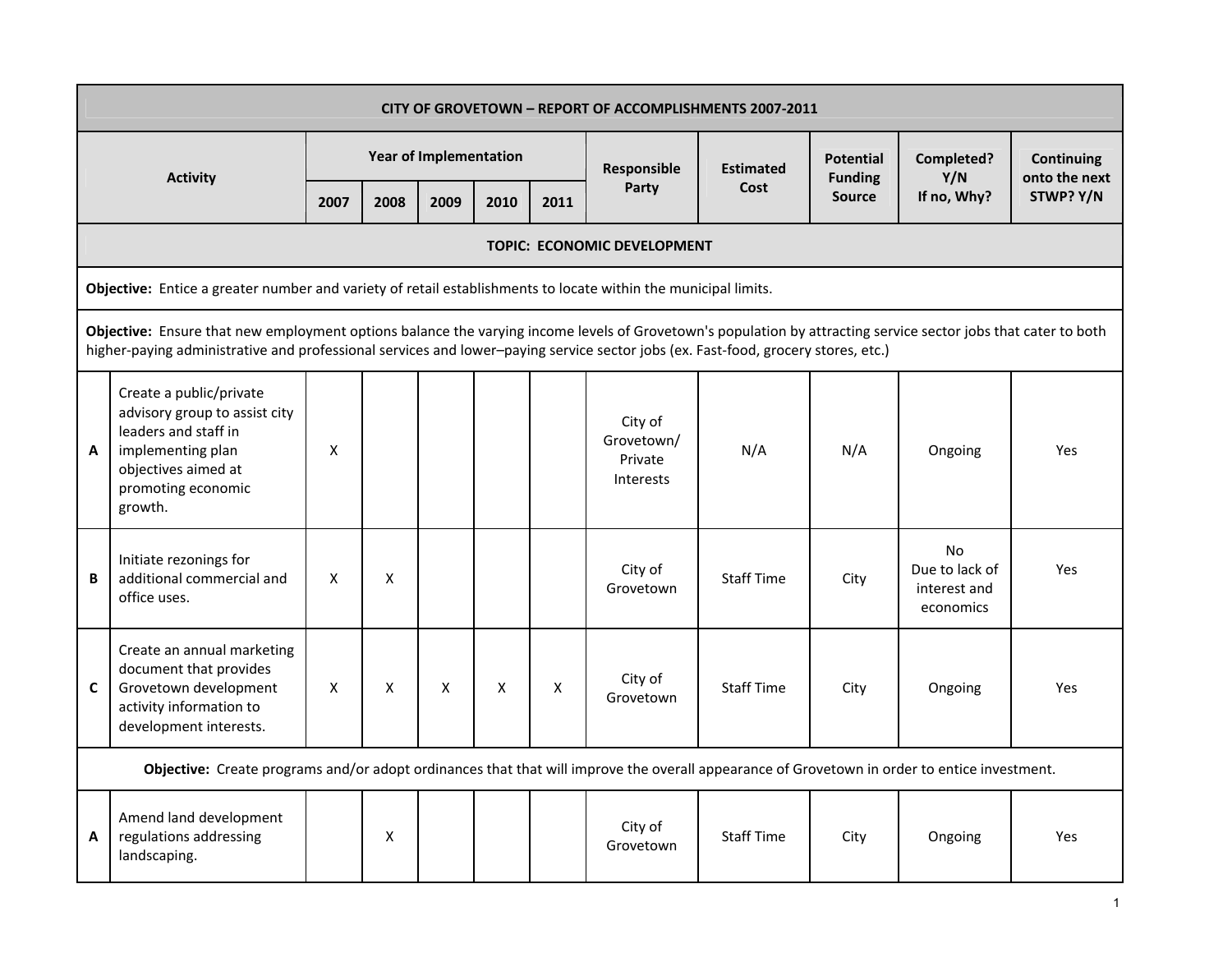|   | CITY OF GROVETOWN - REPORT OF ACCOMPLISHMENTS 2007-2011                                                                                                                                                                                                                                             |      |                    |                               |      |                    |                                               |                   |                                    |                                                          |                                    |  |  |  |
|---|-----------------------------------------------------------------------------------------------------------------------------------------------------------------------------------------------------------------------------------------------------------------------------------------------------|------|--------------------|-------------------------------|------|--------------------|-----------------------------------------------|-------------------|------------------------------------|----------------------------------------------------------|------------------------------------|--|--|--|
|   |                                                                                                                                                                                                                                                                                                     |      |                    | <b>Year of Implementation</b> |      |                    | Responsible                                   | <b>Estimated</b>  | <b>Potential</b><br><b>Funding</b> | Completed?<br>Y/N                                        | <b>Continuing</b><br>onto the next |  |  |  |
|   | <b>Activity</b>                                                                                                                                                                                                                                                                                     | 2007 | 2008               | 2009                          | 2010 | 2011               | Party                                         | Cost              | <b>Source</b>                      | If no, Why?                                              | STWP? Y/N                          |  |  |  |
|   |                                                                                                                                                                                                                                                                                                     |      |                    |                               |      |                    | TOPIC: ECONOMIC DEVELOPMENT                   |                   |                                    |                                                          |                                    |  |  |  |
|   | Objective: Entice a greater number and variety of retail establishments to locate within the municipal limits.                                                                                                                                                                                      |      |                    |                               |      |                    |                                               |                   |                                    |                                                          |                                    |  |  |  |
|   | Objective: Ensure that new employment options balance the varying income levels of Grovetown's population by attracting service sector jobs that cater to both<br>higher-paying administrative and professional services and lower-paying service sector jobs (ex. Fast-food, grocery stores, etc.) |      |                    |                               |      |                    |                                               |                   |                                    |                                                          |                                    |  |  |  |
| A | Create a public/private<br>advisory group to assist city<br>leaders and staff in<br>implementing plan<br>objectives aimed at<br>promoting economic<br>growth.                                                                                                                                       | X    |                    |                               |      |                    | City of<br>Grovetown/<br>Private<br>Interests | N/A               | N/A                                | Ongoing                                                  | Yes                                |  |  |  |
| B | Initiate rezonings for<br>additional commercial and<br>office uses.                                                                                                                                                                                                                                 | X    | X                  |                               |      |                    | City of<br>Grovetown                          | <b>Staff Time</b> | City                               | <b>No</b><br>Due to lack of<br>interest and<br>economics | Yes                                |  |  |  |
| C | Create an annual marketing<br>document that provides<br>Grovetown development<br>activity information to<br>development interests.                                                                                                                                                                  | X    | X                  | X                             | X    | $\pmb{\mathsf{X}}$ | City of<br>Grovetown                          | <b>Staff Time</b> | City                               | Ongoing                                                  | Yes                                |  |  |  |
|   | Objective: Create programs and/or adopt ordinances that that will improve the overall appearance of Grovetown in order to entice investment.                                                                                                                                                        |      |                    |                               |      |                    |                                               |                   |                                    |                                                          |                                    |  |  |  |
| A | Amend land development<br>regulations addressing<br>landscaping.                                                                                                                                                                                                                                    |      | $\pmb{\mathsf{X}}$ |                               |      |                    | City of<br>Grovetown                          | <b>Staff Time</b> | City                               | Ongoing                                                  | Yes                                |  |  |  |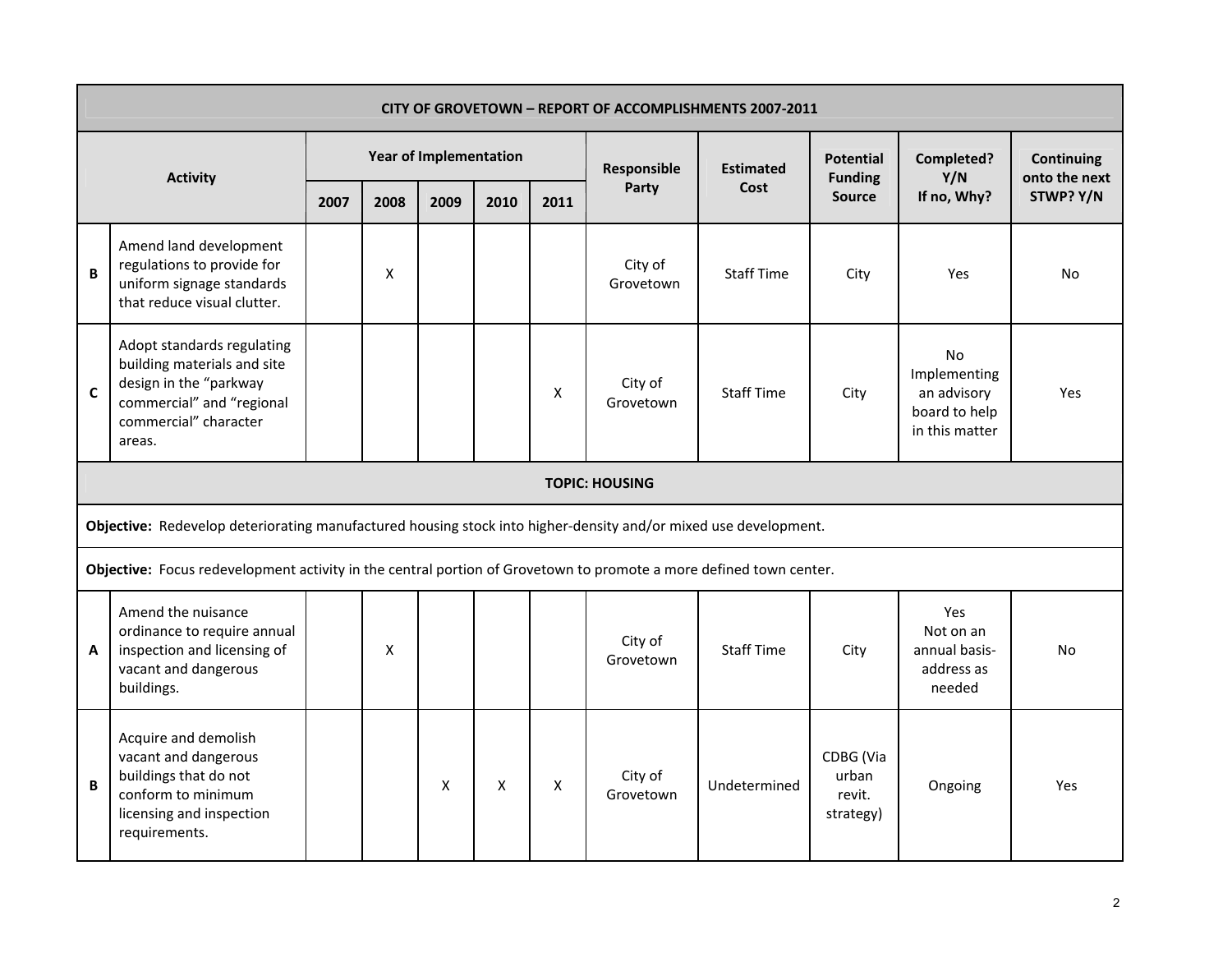|             | <b>CITY OF GROVETOWN - REPORT OF ACCOMPLISHMENTS 2007-2011</b>                                                                                                                                                                                                                                                                                                            |      |      |                        |      |                    |                      |                   |                                           |                                                                      |                                    |  |  |  |
|-------------|---------------------------------------------------------------------------------------------------------------------------------------------------------------------------------------------------------------------------------------------------------------------------------------------------------------------------------------------------------------------------|------|------|------------------------|------|--------------------|----------------------|-------------------|-------------------------------------------|----------------------------------------------------------------------|------------------------------------|--|--|--|
|             | <b>Activity</b>                                                                                                                                                                                                                                                                                                                                                           |      |      | Year of Implementation |      |                    | Responsible          | <b>Estimated</b>  | <b>Potential</b><br><b>Funding</b>        | Completed?<br>Y/N                                                    | <b>Continuing</b><br>onto the next |  |  |  |
|             |                                                                                                                                                                                                                                                                                                                                                                           | 2007 | 2008 | 2009                   | 2010 | 2011               | Party                | Cost              | <b>Source</b>                             | If no, Why?                                                          | STWP? Y/N                          |  |  |  |
| B           | Amend land development<br>regulations to provide for<br>uniform signage standards<br>that reduce visual clutter.                                                                                                                                                                                                                                                          |      | Χ    |                        |      |                    | City of<br>Grovetown | <b>Staff Time</b> | City                                      | Yes                                                                  | <b>No</b>                          |  |  |  |
| $\mathbf c$ | Adopt standards regulating<br>building materials and site<br>design in the "parkway<br>commercial" and "regional<br>commercial" character<br>areas.                                                                                                                                                                                                                       |      |      |                        |      | X                  | City of<br>Grovetown | <b>Staff Time</b> | City                                      | No<br>Implementing<br>an advisory<br>board to help<br>in this matter | <b>Yes</b>                         |  |  |  |
|             | <b>TOPIC: HOUSING</b>                                                                                                                                                                                                                                                                                                                                                     |      |      |                        |      |                    |                      |                   |                                           |                                                                      |                                    |  |  |  |
|             | Objective: Redevelop deteriorating manufactured housing stock into higher-density and/or mixed use development.                                                                                                                                                                                                                                                           |      |      |                        |      |                    |                      |                   |                                           |                                                                      |                                    |  |  |  |
|             |                                                                                                                                                                                                                                                                                                                                                                           |      |      |                        |      |                    |                      |                   |                                           |                                                                      |                                    |  |  |  |
| A           | Objective: Focus redevelopment activity in the central portion of Grovetown to promote a more defined town center.<br>Amend the nuisance<br>Yes<br>ordinance to require annual<br>Not on an<br>City of<br>inspection and licensing of<br><b>Staff Time</b><br>X<br>City<br>annual basis-<br>No<br>Grovetown<br>vacant and dangerous<br>address as<br>buildings.<br>needed |      |      |                        |      |                    |                      |                   |                                           |                                                                      |                                    |  |  |  |
| B           | Acquire and demolish<br>vacant and dangerous<br>buildings that do not<br>conform to minimum<br>licensing and inspection<br>requirements.                                                                                                                                                                                                                                  |      |      | Χ                      | X    | $\pmb{\mathsf{X}}$ | City of<br>Grovetown | Undetermined      | CDBG (Via<br>urban<br>revit.<br>strategy) | Ongoing                                                              | Yes                                |  |  |  |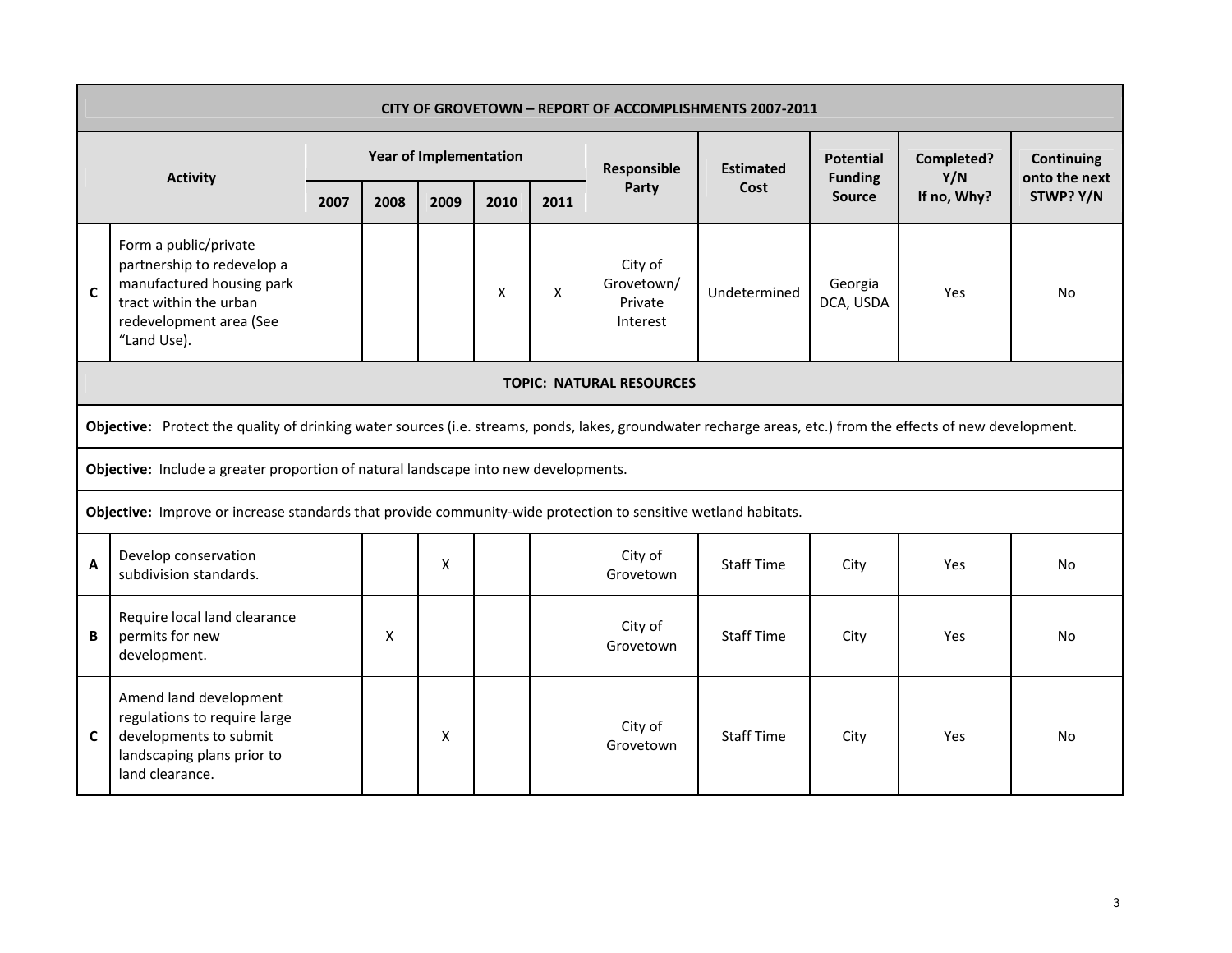|                                                                                                                                                                               | <b>CITY OF GROVETOWN - REPORT OF ACCOMPLISHMENTS 2007-2011</b>                                                                                               |      |      |                               |      |      |                                              |                   |                                    |                   |                                    |  |  |
|-------------------------------------------------------------------------------------------------------------------------------------------------------------------------------|--------------------------------------------------------------------------------------------------------------------------------------------------------------|------|------|-------------------------------|------|------|----------------------------------------------|-------------------|------------------------------------|-------------------|------------------------------------|--|--|
|                                                                                                                                                                               | <b>Activity</b>                                                                                                                                              |      |      | <b>Year of Implementation</b> |      |      | Responsible                                  | <b>Estimated</b>  | <b>Potential</b><br><b>Funding</b> | Completed?<br>Y/N | <b>Continuing</b><br>onto the next |  |  |
|                                                                                                                                                                               |                                                                                                                                                              | 2007 | 2008 | 2009                          | 2010 | 2011 | Party                                        | Cost              | Source                             | If no, Why?       | STWP? Y/N                          |  |  |
| Form a public/private<br>partnership to redevelop a<br>manufactured housing park<br>$\mathbf c$<br>X<br>X<br>tract within the urban<br>redevelopment area (See<br>"Land Use). |                                                                                                                                                              |      |      |                               |      |      | City of<br>Grovetown/<br>Private<br>Interest | Undetermined      | Georgia<br>DCA, USDA               | <b>Yes</b>        | N <sub>0</sub>                     |  |  |
|                                                                                                                                                                               | <b>TOPIC: NATURAL RESOURCES</b>                                                                                                                              |      |      |                               |      |      |                                              |                   |                                    |                   |                                    |  |  |
|                                                                                                                                                                               | Objective: Protect the quality of drinking water sources (i.e. streams, ponds, lakes, groundwater recharge areas, etc.) from the effects of new development. |      |      |                               |      |      |                                              |                   |                                    |                   |                                    |  |  |
|                                                                                                                                                                               | Objective: Include a greater proportion of natural landscape into new developments.                                                                          |      |      |                               |      |      |                                              |                   |                                    |                   |                                    |  |  |
|                                                                                                                                                                               | Objective: Improve or increase standards that provide community-wide protection to sensitive wetland habitats.                                               |      |      |                               |      |      |                                              |                   |                                    |                   |                                    |  |  |
| A                                                                                                                                                                             | Develop conservation<br>subdivision standards.                                                                                                               |      |      | X                             |      |      | City of<br>Grovetown                         | <b>Staff Time</b> | City                               | Yes               | <b>No</b>                          |  |  |
| B                                                                                                                                                                             | Require local land clearance<br>City of<br>permits for new<br><b>Staff Time</b><br>X<br>City<br>Yes<br>No<br>Grovetown<br>development.                       |      |      |                               |      |      |                                              |                   |                                    |                   |                                    |  |  |
| C                                                                                                                                                                             | Amend land development<br>regulations to require large<br>developments to submit<br>landscaping plans prior to<br>land clearance.                            |      |      | X                             |      |      | City of<br>Grovetown                         | <b>Staff Time</b> | City                               | Yes               | No                                 |  |  |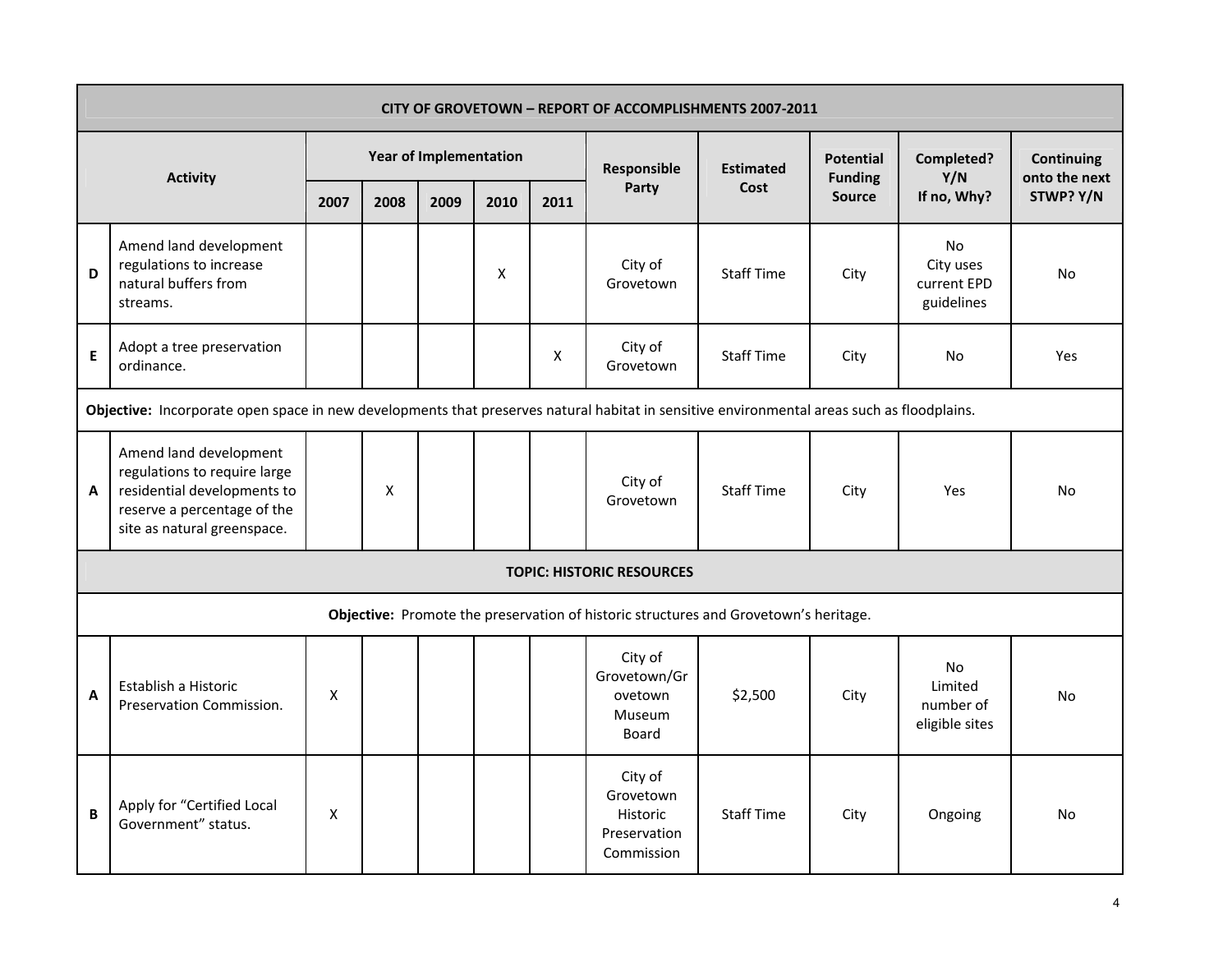|   | CITY OF GROVETOWN - REPORT OF ACCOMPLISHMENTS 2007-2011                                                                                             |                    |                    |                        |      |      |                                                                                      |                   |                                    |                                                     |                                    |  |  |
|---|-----------------------------------------------------------------------------------------------------------------------------------------------------|--------------------|--------------------|------------------------|------|------|--------------------------------------------------------------------------------------|-------------------|------------------------------------|-----------------------------------------------------|------------------------------------|--|--|
|   | <b>Activity</b>                                                                                                                                     |                    |                    | Year of Implementation |      |      | Responsible                                                                          | <b>Estimated</b>  | <b>Potential</b><br><b>Funding</b> | Completed?<br>Y/N                                   | <b>Continuing</b><br>onto the next |  |  |
|   |                                                                                                                                                     | 2007               | 2008               | 2009                   | 2010 | 2011 | Party                                                                                | Cost              | <b>Source</b>                      | If no, Why?                                         | STWP? Y/N                          |  |  |
| D | Amend land development<br>regulations to increase<br>natural buffers from<br>streams.                                                               |                    |                    |                        | X    |      | City of<br>Grovetown                                                                 | <b>Staff Time</b> | City                               | <b>No</b><br>City uses<br>current EPD<br>guidelines | No                                 |  |  |
| E | Adopt a tree preservation<br>ordinance.                                                                                                             |                    |                    |                        |      | X    | City of<br>Grovetown                                                                 | <b>Staff Time</b> | City                               | No                                                  | Yes                                |  |  |
|   | Objective: Incorporate open space in new developments that preserves natural habitat in sensitive environmental areas such as floodplains.          |                    |                    |                        |      |      |                                                                                      |                   |                                    |                                                     |                                    |  |  |
| A | Amend land development<br>regulations to require large<br>residential developments to<br>reserve a percentage of the<br>site as natural greenspace. |                    | $\pmb{\mathsf{X}}$ |                        |      |      | City of<br>Grovetown                                                                 | <b>Staff Time</b> | City                               | Yes                                                 | <b>No</b>                          |  |  |
|   |                                                                                                                                                     |                    |                    |                        |      |      | <b>TOPIC: HISTORIC RESOURCES</b>                                                     |                   |                                    |                                                     |                                    |  |  |
|   |                                                                                                                                                     |                    |                    |                        |      |      | Objective: Promote the preservation of historic structures and Grovetown's heritage. |                   |                                    |                                                     |                                    |  |  |
| A | Establish a Historic<br>Preservation Commission.                                                                                                    | X                  |                    |                        |      |      | City of<br>Grovetown/Gr<br>ovetown<br>Museum<br>Board                                | \$2,500           | City                               | <b>No</b><br>Limited<br>number of<br>eligible sites | No                                 |  |  |
| B | Apply for "Certified Local<br>Government" status.                                                                                                   | $\pmb{\mathsf{X}}$ |                    |                        |      |      | City of<br>Grovetown<br>Historic<br>Preservation<br>Commission                       | <b>Staff Time</b> | City                               | Ongoing                                             | No                                 |  |  |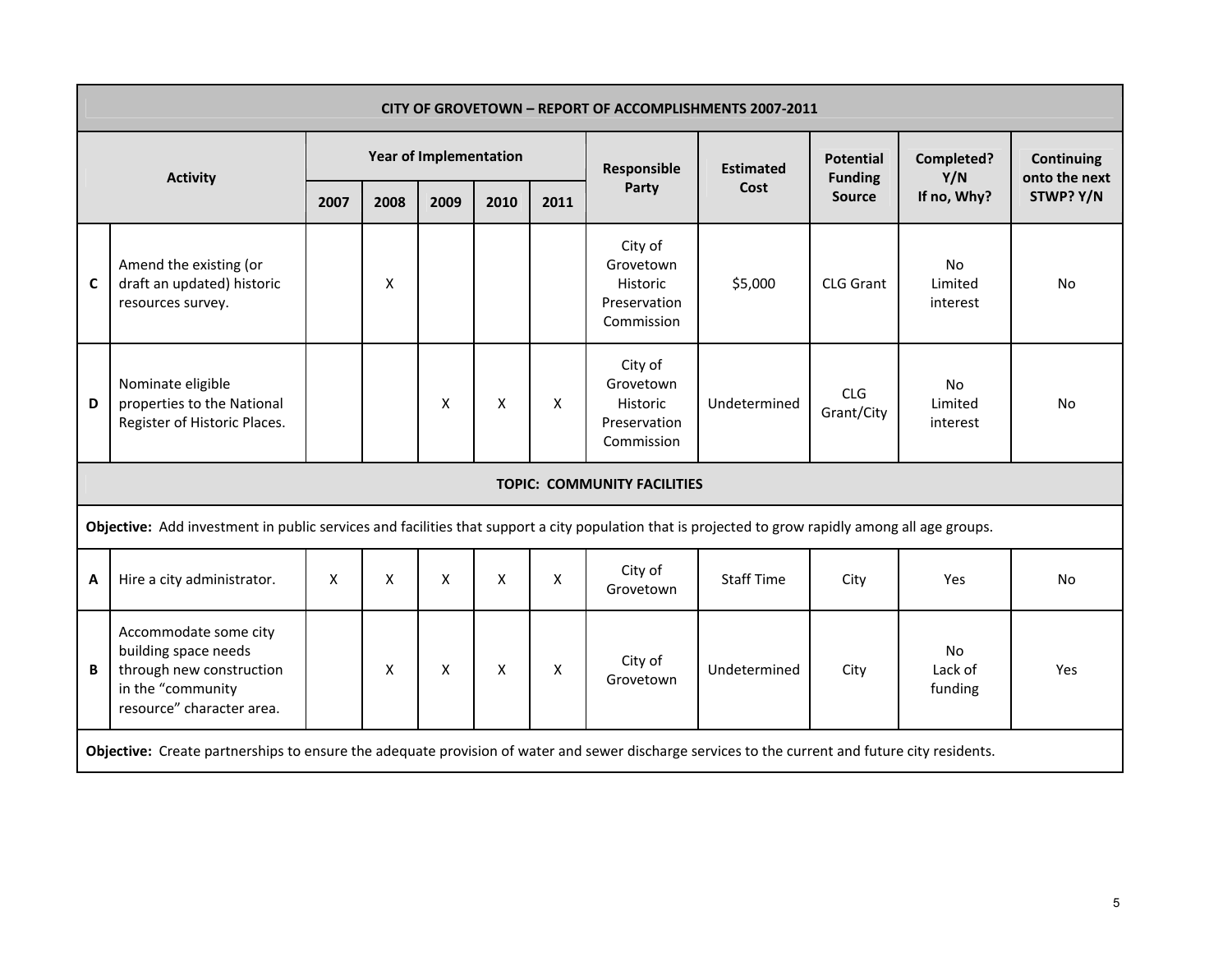|             | <b>CITY OF GROVETOWN - REPORT OF ACCOMPLISHMENTS 2007-2011</b>                                                                                                                                                                                                                     |      |                    |                               |                    |      |                                                                       |                   |                                    |                           |                                    |  |  |
|-------------|------------------------------------------------------------------------------------------------------------------------------------------------------------------------------------------------------------------------------------------------------------------------------------|------|--------------------|-------------------------------|--------------------|------|-----------------------------------------------------------------------|-------------------|------------------------------------|---------------------------|------------------------------------|--|--|
|             | <b>Activity</b>                                                                                                                                                                                                                                                                    |      |                    | <b>Year of Implementation</b> |                    |      | Responsible                                                           | <b>Estimated</b>  | <b>Potential</b><br><b>Funding</b> | Completed?<br>Y/N         | <b>Continuing</b><br>onto the next |  |  |
|             |                                                                                                                                                                                                                                                                                    | 2007 | 2008               | 2009                          | 2010               | 2011 | Party                                                                 | Cost              | <b>Source</b>                      | If no, Why?               | STWP? Y/N                          |  |  |
| $\mathbf c$ | Amend the existing (or<br>draft an updated) historic<br>resources survey.                                                                                                                                                                                                          |      | $\pmb{\mathsf{X}}$ |                               |                    |      | City of<br>Grovetown<br>Historic<br>Preservation<br>Commission        | \$5,000           | <b>CLG Grant</b>                   | No<br>Limited<br>interest | No                                 |  |  |
| D           | Nominate eligible<br>properties to the National<br>Register of Historic Places.                                                                                                                                                                                                    |      |                    | X                             | X                  | X    | City of<br>Grovetown<br><b>Historic</b><br>Preservation<br>Commission | Undetermined      | CLG<br>Grant/City                  | No<br>Limited<br>interest | <b>No</b>                          |  |  |
|             |                                                                                                                                                                                                                                                                                    |      |                    |                               |                    |      | <b>TOPIC: COMMUNITY FACILITIES</b>                                    |                   |                                    |                           |                                    |  |  |
|             | Objective: Add investment in public services and facilities that support a city population that is projected to grow rapidly among all age groups.                                                                                                                                 |      |                    |                               |                    |      |                                                                       |                   |                                    |                           |                                    |  |  |
| A           | Hire a city administrator.                                                                                                                                                                                                                                                         | Χ    | X                  | X                             | $\pmb{\mathsf{X}}$ | X    | City of<br>Grovetown                                                  | <b>Staff Time</b> | City                               | Yes                       | No                                 |  |  |
| B           | Accommodate some city<br>building space needs<br><b>No</b><br>City of<br>through new construction<br>$\boldsymbol{\mathsf{X}}$<br>$\pmb{\mathsf{X}}$<br>X<br>X<br>Lack of<br>Undetermined<br>City<br>Yes<br>Grovetown<br>in the "community<br>funding<br>resource" character area. |      |                    |                               |                    |      |                                                                       |                   |                                    |                           |                                    |  |  |
|             | Objective: Create partnerships to ensure the adequate provision of water and sewer discharge services to the current and future city residents.                                                                                                                                    |      |                    |                               |                    |      |                                                                       |                   |                                    |                           |                                    |  |  |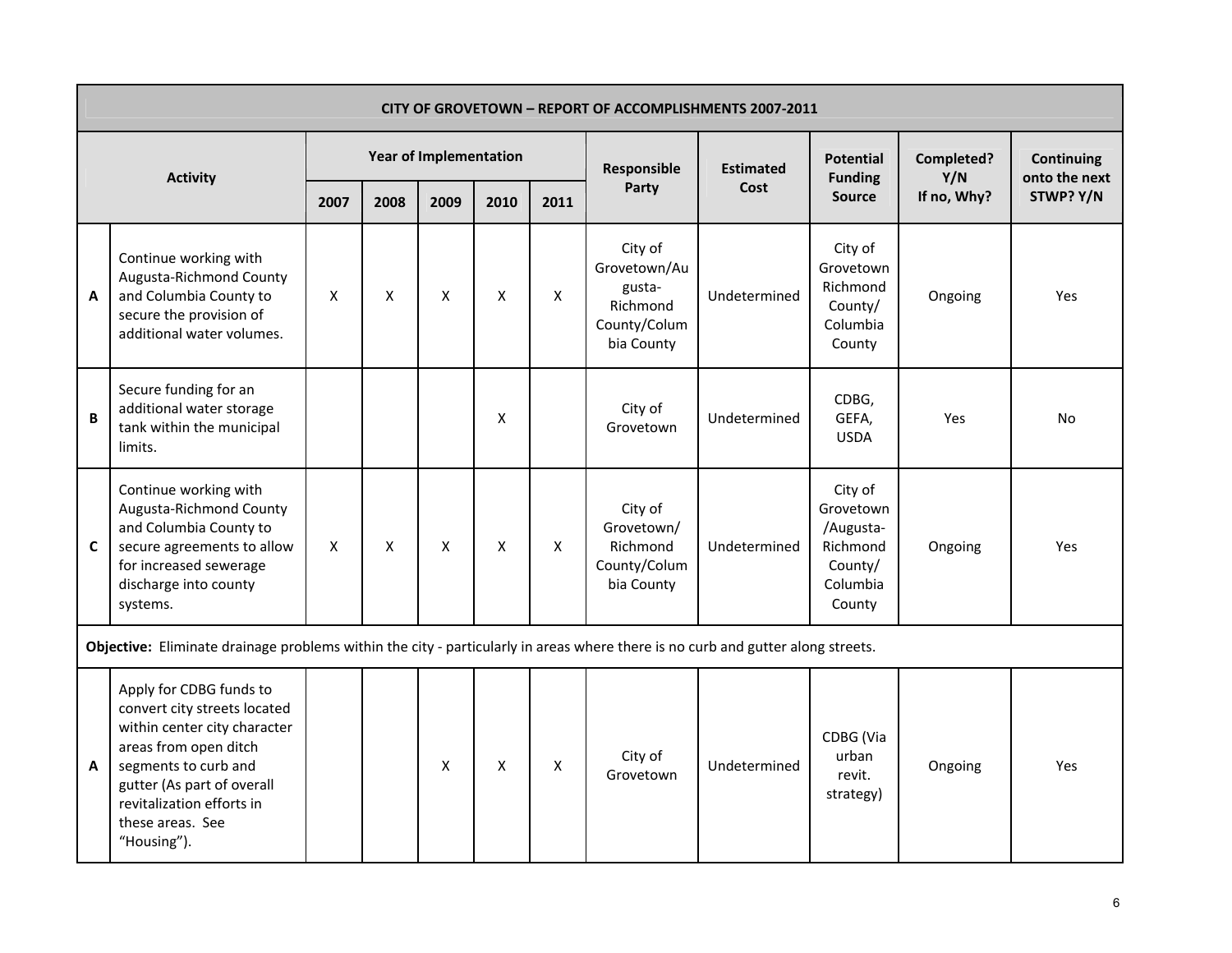|   |                                                                                                                                                                                                                                        |                    |      |                               |                    |                    |                                                                             | <b>CITY OF GROVETOWN - REPORT OF ACCOMPLISHMENTS 2007-2011</b> |                                                                                |                   |                                    |
|---|----------------------------------------------------------------------------------------------------------------------------------------------------------------------------------------------------------------------------------------|--------------------|------|-------------------------------|--------------------|--------------------|-----------------------------------------------------------------------------|----------------------------------------------------------------|--------------------------------------------------------------------------------|-------------------|------------------------------------|
|   | <b>Activity</b>                                                                                                                                                                                                                        |                    |      | <b>Year of Implementation</b> |                    |                    | Responsible                                                                 | <b>Estimated</b>                                               | <b>Potential</b><br><b>Funding</b>                                             | Completed?<br>Y/N | <b>Continuing</b><br>onto the next |
|   |                                                                                                                                                                                                                                        | 2007               | 2008 | 2009                          | 2010               | 2011               | Party                                                                       | Cost                                                           | <b>Source</b>                                                                  | If no, Why?       | STWP? Y/N                          |
| A | Continue working with<br>Augusta-Richmond County<br>and Columbia County to<br>secure the provision of<br>additional water volumes.                                                                                                     | X                  | X    | $\pmb{\mathsf{X}}$            | $\pmb{\mathsf{X}}$ | $\pmb{\times}$     | City of<br>Grovetown/Au<br>gusta-<br>Richmond<br>County/Colum<br>bia County | Undetermined                                                   | City of<br>Grovetown<br>Richmond<br>County/<br>Columbia<br>County              | Ongoing           | Yes                                |
| B | Secure funding for an<br>additional water storage<br>tank within the municipal<br>limits.                                                                                                                                              |                    |      |                               | X                  |                    | City of<br>Grovetown                                                        | Undetermined                                                   | CDBG,<br>GEFA,<br><b>USDA</b>                                                  | Yes               | No                                 |
| C | Continue working with<br>Augusta-Richmond County<br>and Columbia County to<br>secure agreements to allow<br>for increased sewerage<br>discharge into county<br>systems.                                                                | $\pmb{\mathsf{X}}$ | X    | $\pmb{\mathsf{X}}$            | $\pmb{\mathsf{X}}$ | $\pmb{\mathsf{X}}$ | City of<br>Grovetown/<br>Richmond<br>County/Colum<br>bia County             | Undetermined                                                   | City of<br>Grovetown<br>/Augusta-<br>Richmond<br>County/<br>Columbia<br>County | Ongoing           | Yes                                |
|   | Objective: Eliminate drainage problems within the city - particularly in areas where there is no curb and gutter along streets.                                                                                                        |                    |      |                               |                    |                    |                                                                             |                                                                |                                                                                |                   |                                    |
| A | Apply for CDBG funds to<br>convert city streets located<br>within center city character<br>areas from open ditch<br>segments to curb and<br>gutter (As part of overall<br>revitalization efforts in<br>these areas. See<br>"Housing"). |                    |      | $\pmb{\mathsf{X}}$            | $\pmb{\mathsf{X}}$ | $\pmb{\times}$     | City of<br>Grovetown                                                        | Undetermined                                                   | CDBG (Via<br>urban<br>revit.<br>strategy)                                      | Ongoing           | Yes                                |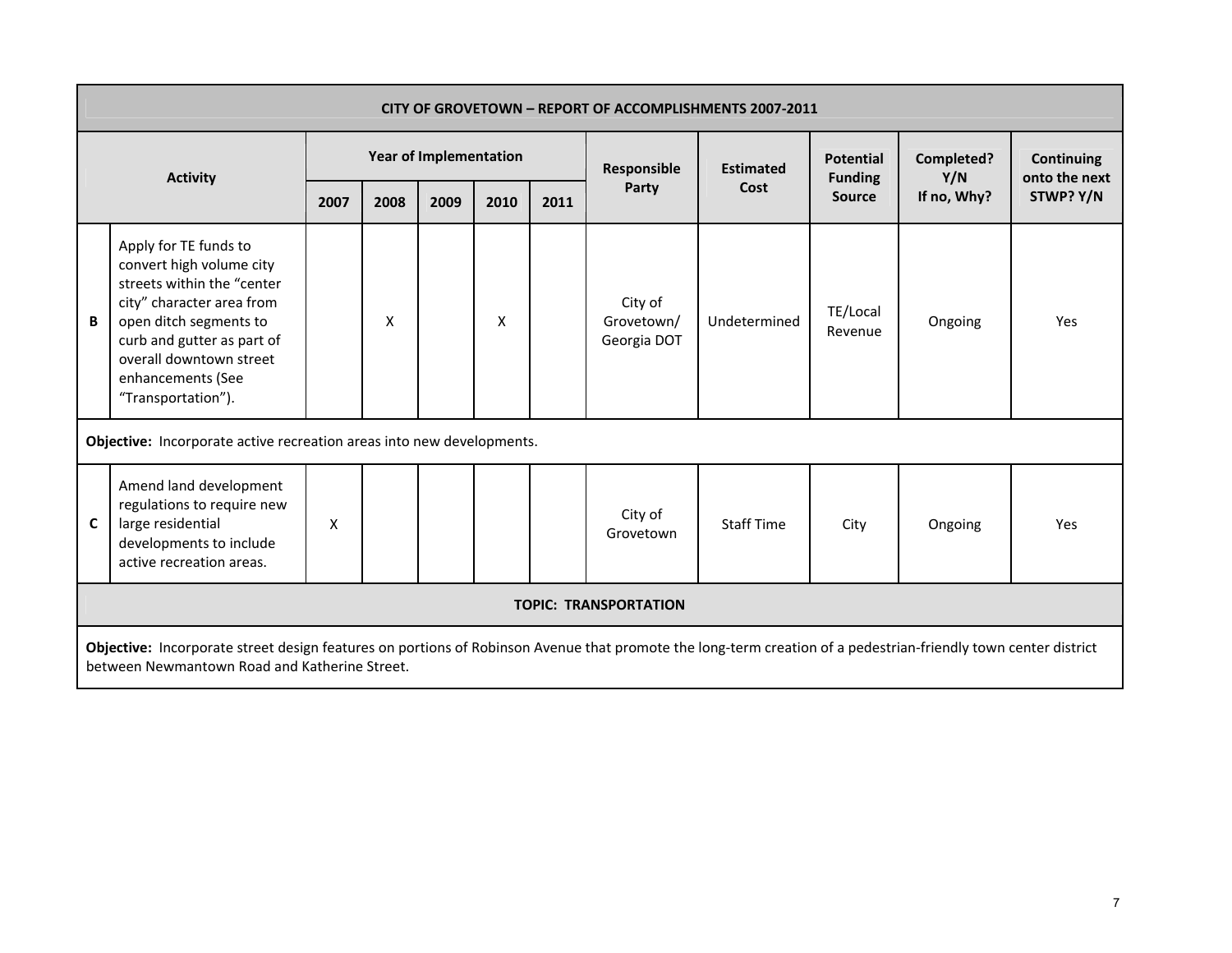|   |                                                                                                                                                                                                                                            | <b>CITY OF GROVETOWN - REPORT OF ACCOMPLISHMENTS 2007-2011</b> |      |                               |      |                      |                                      |                  |                                    |                   |                                    |  |  |  |
|---|--------------------------------------------------------------------------------------------------------------------------------------------------------------------------------------------------------------------------------------------|----------------------------------------------------------------|------|-------------------------------|------|----------------------|--------------------------------------|------------------|------------------------------------|-------------------|------------------------------------|--|--|--|
|   | <b>Activity</b>                                                                                                                                                                                                                            |                                                                |      | <b>Year of Implementation</b> |      |                      | Responsible                          | <b>Estimated</b> | <b>Potential</b><br><b>Funding</b> | Completed?<br>Y/N | <b>Continuing</b><br>onto the next |  |  |  |
|   |                                                                                                                                                                                                                                            | 2007                                                           | 2008 | 2009                          | 2010 | 2011                 | Party                                | Cost             | <b>Source</b>                      | If no, Why?       | STWP? Y/N                          |  |  |  |
| B | Apply for TE funds to<br>convert high volume city<br>streets within the "center<br>city" character area from<br>open ditch segments to<br>curb and gutter as part of<br>overall downtown street<br>enhancements (See<br>"Transportation"). |                                                                | X    |                               | X    |                      | City of<br>Grovetown/<br>Georgia DOT | Undetermined     | TE/Local<br>Revenue                | Ongoing           | Yes                                |  |  |  |
|   | Objective: Incorporate active recreation areas into new developments.                                                                                                                                                                      |                                                                |      |                               |      |                      |                                      |                  |                                    |                   |                                    |  |  |  |
| C | Amend land development<br>regulations to require new<br>large residential<br>developments to include<br>active recreation areas.                                                                                                           |                                                                |      |                               |      | City of<br>Grovetown | <b>Staff Time</b>                    | City             | Ongoing                            | Yes               |                                    |  |  |  |
|   | <b>TOPIC: TRANSPORTATION</b>                                                                                                                                                                                                               |                                                                |      |                               |      |                      |                                      |                  |                                    |                   |                                    |  |  |  |
|   | Objective: Incorporate street design features on portions of Robinson Avenue that promote the long-term creation of a pedestrian-friendly town center district<br>between Newmantown Road and Katherine Street.                            |                                                                |      |                               |      |                      |                                      |                  |                                    |                   |                                    |  |  |  |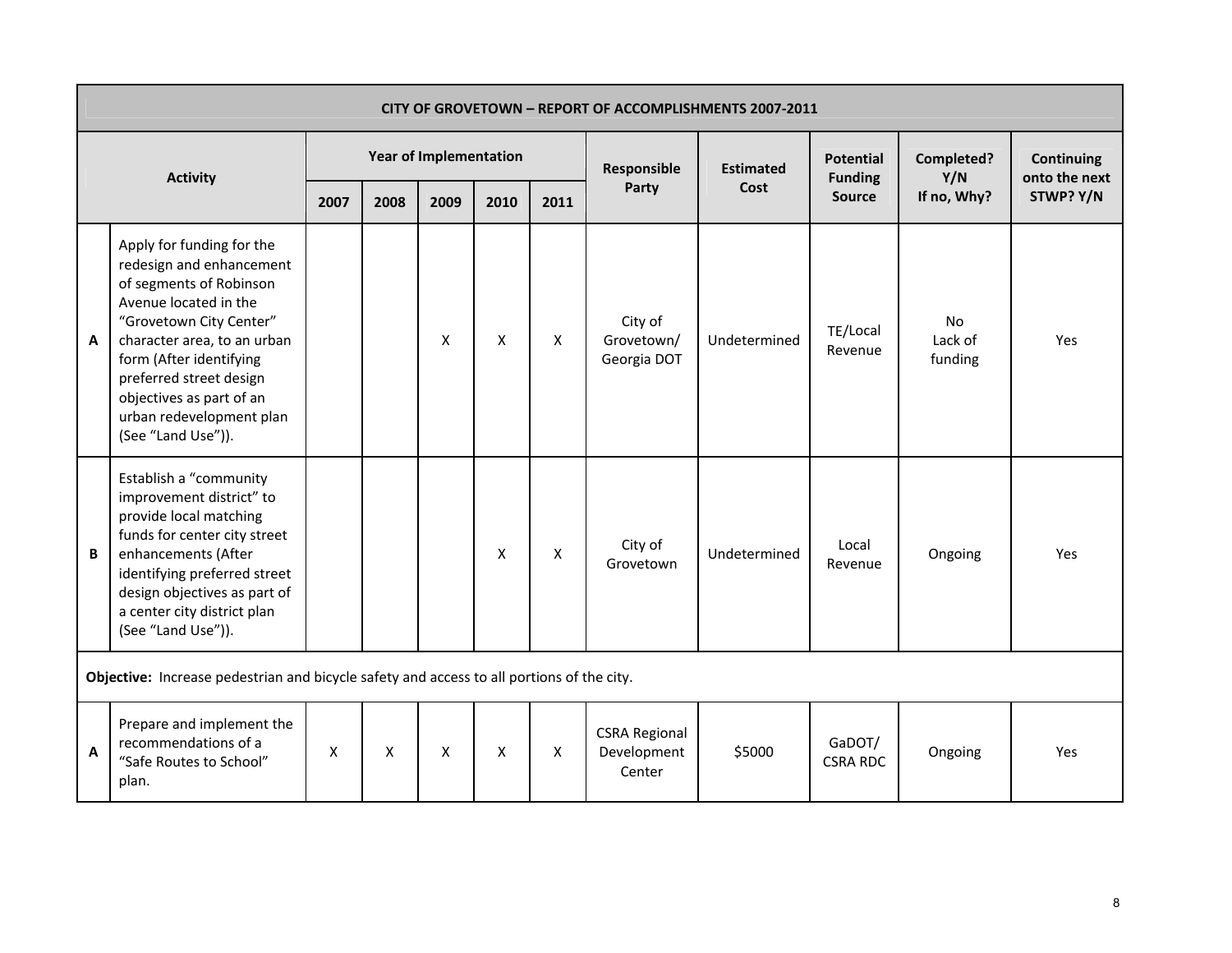|   | CITY OF GROVETOWN - REPORT OF ACCOMPLISHMENTS 2007-2011<br><b>Year of Implementation</b>                                                                                                                                                                                                                |      |                    |                    |                    |                |                                               |                  |                                    |                          |                                    |  |  |  |
|---|---------------------------------------------------------------------------------------------------------------------------------------------------------------------------------------------------------------------------------------------------------------------------------------------------------|------|--------------------|--------------------|--------------------|----------------|-----------------------------------------------|------------------|------------------------------------|--------------------------|------------------------------------|--|--|--|
|   | <b>Activity</b>                                                                                                                                                                                                                                                                                         |      |                    |                    |                    |                | Responsible                                   | <b>Estimated</b> | <b>Potential</b><br><b>Funding</b> | Completed?<br>Y/N        | <b>Continuing</b><br>onto the next |  |  |  |
|   |                                                                                                                                                                                                                                                                                                         | 2007 | 2008               | 2009               | 2010               | 2011           | Party                                         | Cost             | <b>Source</b>                      | If no, Why?              | STWP? Y/N                          |  |  |  |
| A | Apply for funding for the<br>redesign and enhancement<br>of segments of Robinson<br>Avenue located in the<br>"Grovetown City Center"<br>character area, to an urban<br>form (After identifying<br>preferred street design<br>objectives as part of an<br>urban redevelopment plan<br>(See "Land Use")). |      |                    | X                  | X                  | X              | City of<br>Grovetown/<br>Georgia DOT          | Undetermined     | TE/Local<br>Revenue                | No<br>Lack of<br>funding | Yes                                |  |  |  |
| B | Establish a "community<br>improvement district" to<br>provide local matching<br>funds for center city street<br>enhancements (After<br>identifying preferred street<br>design objectives as part of<br>a center city district plan<br>(See "Land Use")).                                                |      |                    |                    | $\pmb{\mathsf{X}}$ | $\pmb{\times}$ | City of<br>Grovetown                          | Undetermined     | Local<br>Revenue                   | Ongoing                  | Yes                                |  |  |  |
|   | Objective: Increase pedestrian and bicycle safety and access to all portions of the city.                                                                                                                                                                                                               |      |                    |                    |                    |                |                                               |                  |                                    |                          |                                    |  |  |  |
| A | Prepare and implement the<br>recommendations of a<br>"Safe Routes to School"<br>plan.                                                                                                                                                                                                                   | X    | $\pmb{\mathsf{X}}$ | $\pmb{\mathsf{X}}$ | $\pmb{\mathsf{X}}$ | X              | <b>CSRA Regional</b><br>Development<br>Center | \$5000           | GaDOT/<br><b>CSRA RDC</b>          | Ongoing                  | Yes                                |  |  |  |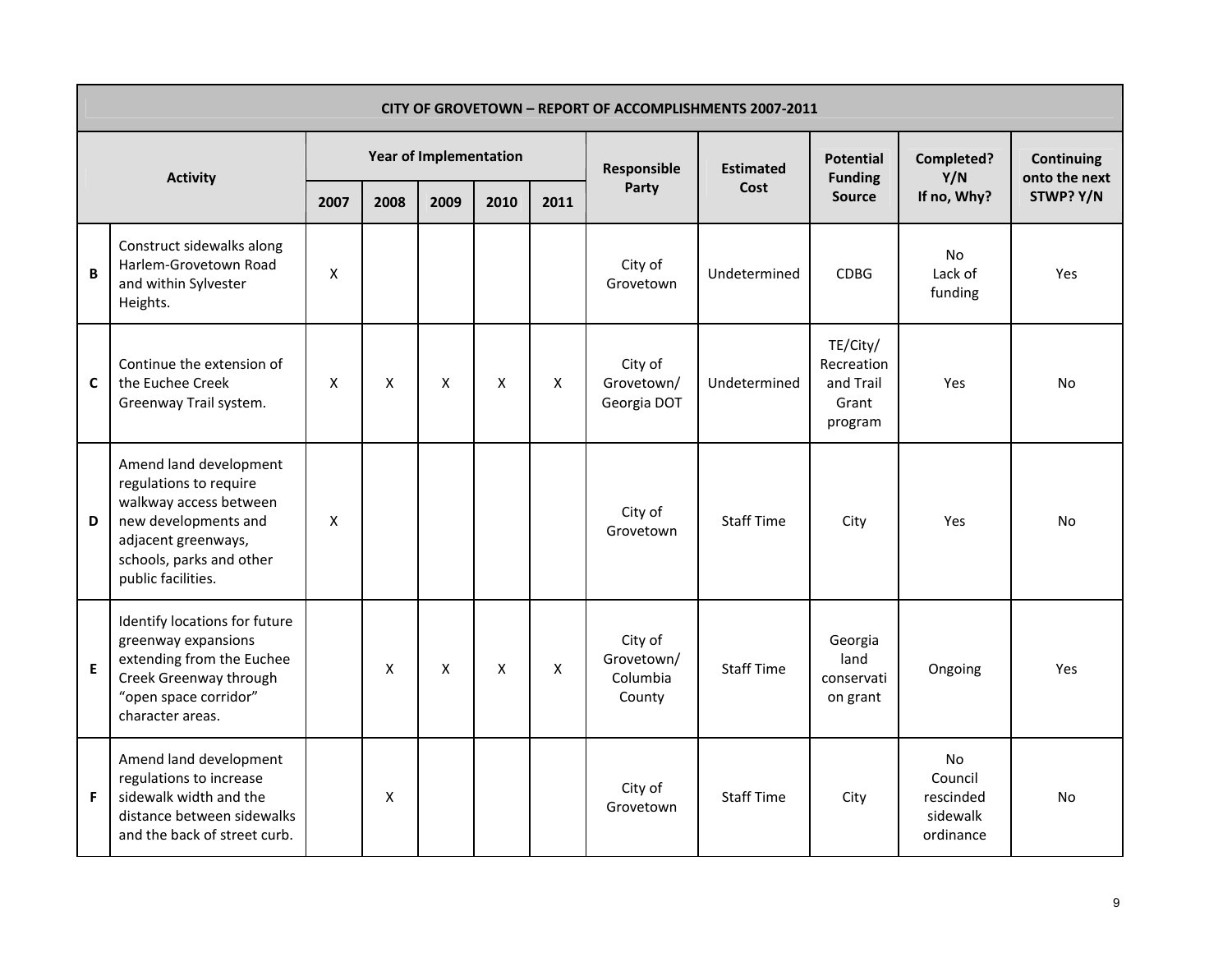|   | <b>CITY OF GROVETOWN - REPORT OF ACCOMPLISHMENTS 2007-2011</b>                                                                                                              |      |      |                               |                    |                    |                                             |                   |                                                         |                                                            |                                    |  |  |  |
|---|-----------------------------------------------------------------------------------------------------------------------------------------------------------------------------|------|------|-------------------------------|--------------------|--------------------|---------------------------------------------|-------------------|---------------------------------------------------------|------------------------------------------------------------|------------------------------------|--|--|--|
|   | <b>Activity</b>                                                                                                                                                             |      |      | <b>Year of Implementation</b> |                    |                    | Responsible                                 | <b>Estimated</b>  | <b>Potential</b><br><b>Funding</b>                      | Completed?<br>Y/N                                          | <b>Continuing</b><br>onto the next |  |  |  |
|   |                                                                                                                                                                             | 2007 | 2008 | 2009                          | 2010               | 2011               | Party                                       | Cost              | <b>Source</b>                                           | If no, Why?                                                | STWP? Y/N                          |  |  |  |
| B | Construct sidewalks along<br>Harlem-Grovetown Road<br>and within Sylvester<br>Heights.                                                                                      | X    |      |                               |                    |                    | City of<br>Grovetown                        | Undetermined      | <b>CDBG</b>                                             | <b>No</b><br>Lack of<br>funding                            | Yes                                |  |  |  |
| C | Continue the extension of<br>the Euchee Creek<br>Greenway Trail system.                                                                                                     | X    | X    | X                             | X                  | X                  | City of<br>Grovetown/<br>Georgia DOT        | Undetermined      | TE/City/<br>Recreation<br>and Trail<br>Grant<br>program | Yes                                                        | <b>No</b>                          |  |  |  |
| D | Amend land development<br>regulations to require<br>walkway access between<br>new developments and<br>adjacent greenways,<br>schools, parks and other<br>public facilities. | X    |      |                               |                    |                    | City of<br>Grovetown                        | <b>Staff Time</b> | City                                                    | Yes                                                        | No                                 |  |  |  |
| E | Identify locations for future<br>greenway expansions<br>extending from the Euchee<br>Creek Greenway through<br>"open space corridor"<br>character areas.                    |      | Χ    | X                             | $\pmb{\mathsf{X}}$ | $\pmb{\mathsf{X}}$ | City of<br>Grovetown/<br>Columbia<br>County | <b>Staff Time</b> | Georgia<br>land<br>conservati<br>on grant               | Ongoing                                                    | Yes                                |  |  |  |
| F | Amend land development<br>regulations to increase<br>sidewalk width and the<br>distance between sidewalks<br>and the back of street curb.                                   |      | X    |                               |                    |                    | City of<br>Grovetown                        | <b>Staff Time</b> | City                                                    | <b>No</b><br>Council<br>rescinded<br>sidewalk<br>ordinance | No                                 |  |  |  |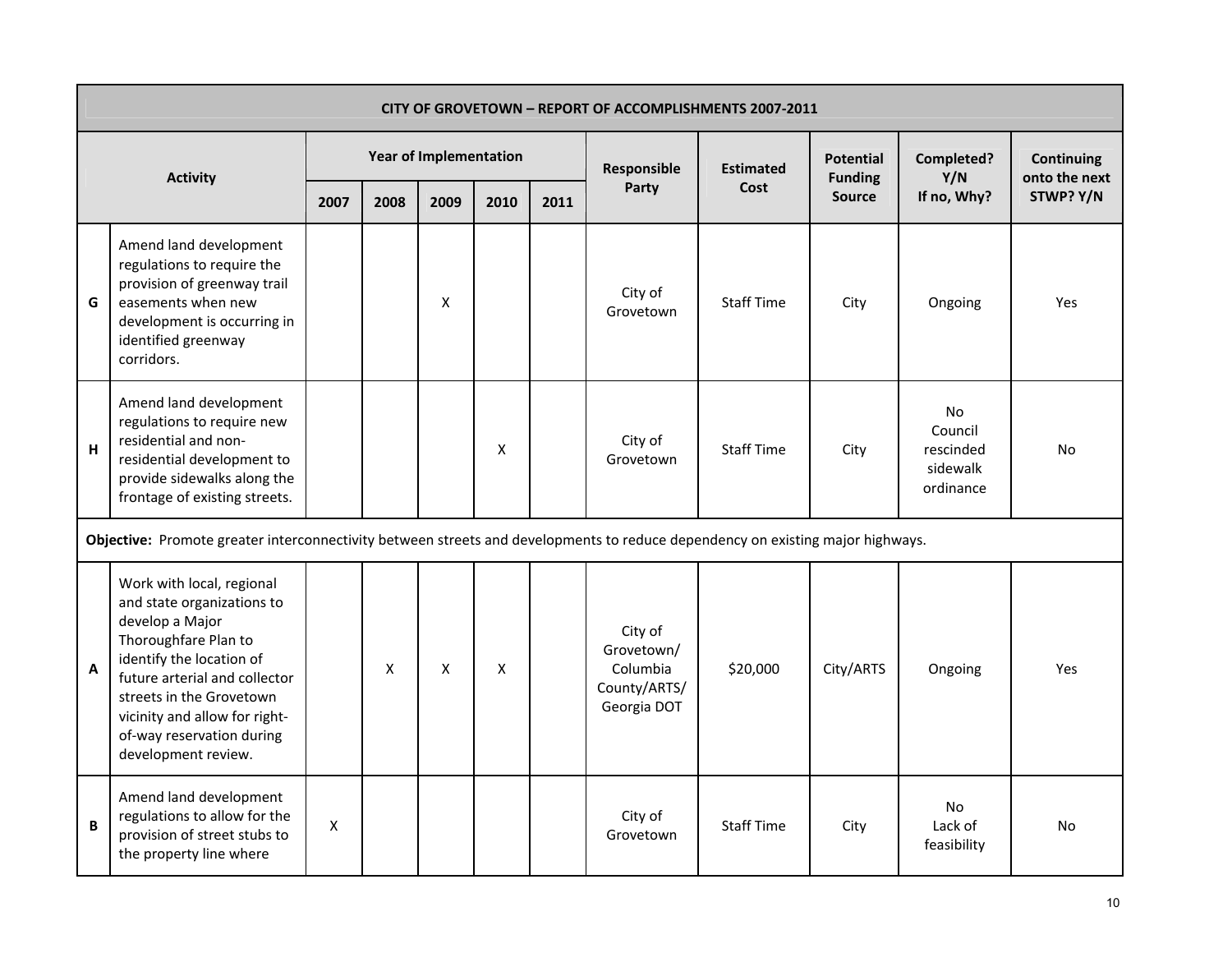|              | <b>CITY OF GROVETOWN - REPORT OF ACCOMPLISHMENTS 2007-2011</b>                                                                                                                                                                                                                   |      |      |                               |      |      |                                                                  |                   |                                    |                                                            |                                    |  |  |  |
|--------------|----------------------------------------------------------------------------------------------------------------------------------------------------------------------------------------------------------------------------------------------------------------------------------|------|------|-------------------------------|------|------|------------------------------------------------------------------|-------------------|------------------------------------|------------------------------------------------------------|------------------------------------|--|--|--|
|              |                                                                                                                                                                                                                                                                                  |      |      | <b>Year of Implementation</b> |      |      | Responsible                                                      | <b>Estimated</b>  | <b>Potential</b><br><b>Funding</b> | Completed?<br>Y/N                                          | <b>Continuing</b><br>onto the next |  |  |  |
|              | <b>Activity</b>                                                                                                                                                                                                                                                                  | 2007 | 2008 | 2009                          | 2010 | 2011 | Party                                                            | Cost              | <b>Source</b>                      | If no, Why?                                                | STWP? Y/N                          |  |  |  |
| G            | Amend land development<br>regulations to require the<br>provision of greenway trail<br>easements when new<br>development is occurring in<br>identified greenway<br>corridors.                                                                                                    |      |      | X                             |      |      | City of<br>Grovetown                                             | <b>Staff Time</b> | City                               | Ongoing                                                    | Yes                                |  |  |  |
| H            | Amend land development<br>regulations to require new<br>residential and non-<br>residential development to<br>provide sidewalks along the<br>frontage of existing streets.                                                                                                       |      |      |                               | Χ    |      | City of<br>Grovetown                                             | <b>Staff Time</b> | City                               | <b>No</b><br>Council<br>rescinded<br>sidewalk<br>ordinance | No                                 |  |  |  |
|              | Objective: Promote greater interconnectivity between streets and developments to reduce dependency on existing major highways.                                                                                                                                                   |      |      |                               |      |      |                                                                  |                   |                                    |                                                            |                                    |  |  |  |
| $\mathsf{A}$ | Work with local, regional<br>and state organizations to<br>develop a Major<br>Thoroughfare Plan to<br>identify the location of<br>future arterial and collector<br>streets in the Grovetown<br>vicinity and allow for right-<br>of-way reservation during<br>development review. |      | X    | X                             | X    |      | City of<br>Grovetown/<br>Columbia<br>County/ARTS/<br>Georgia DOT | \$20,000          | City/ARTS                          | Ongoing                                                    | Yes                                |  |  |  |
| B            | Amend land development<br>regulations to allow for the<br>provision of street stubs to<br>the property line where                                                                                                                                                                | X    |      |                               |      |      | City of<br>Grovetown                                             | <b>Staff Time</b> | City                               | <b>No</b><br>Lack of<br>feasibility                        | No                                 |  |  |  |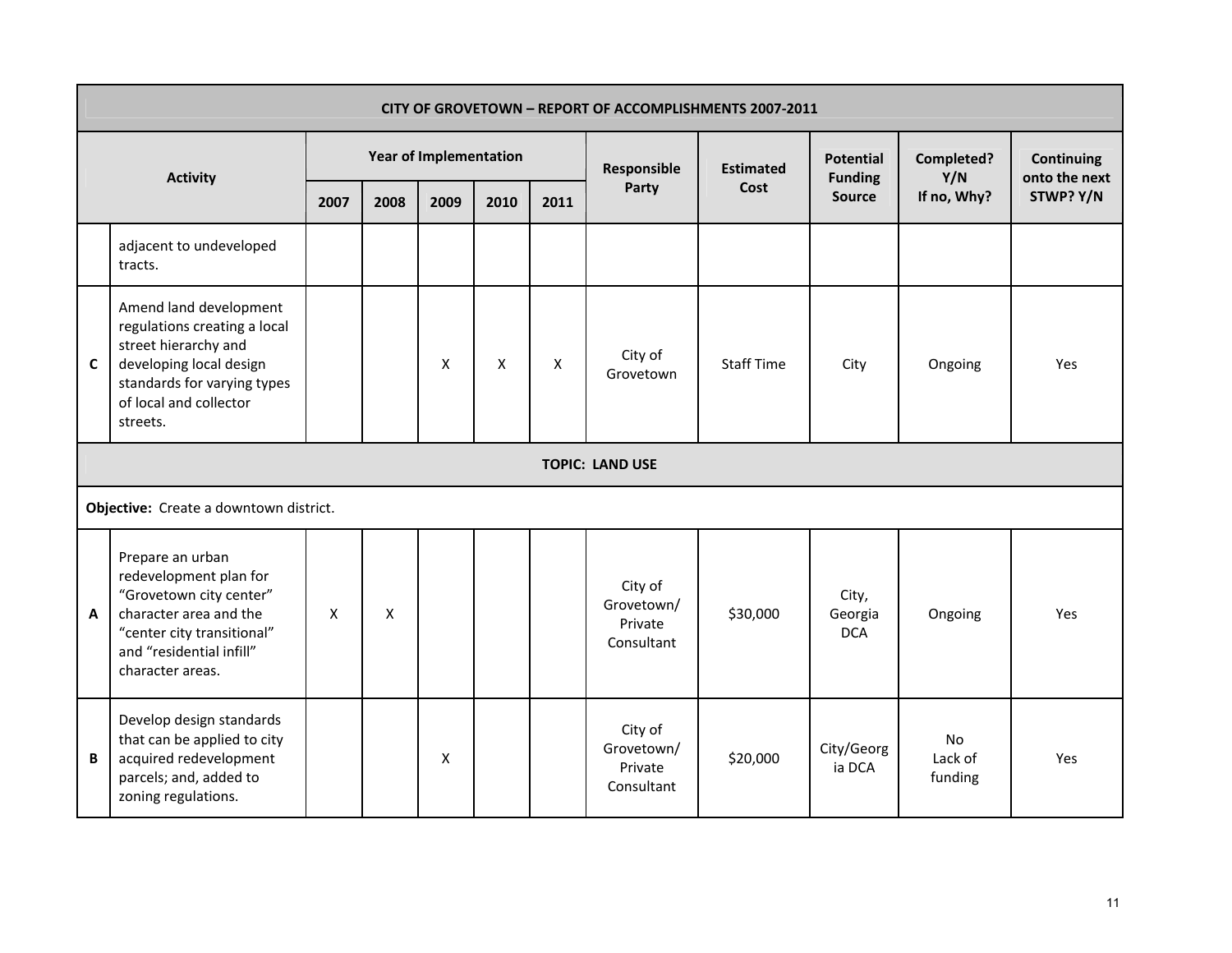|             | CITY OF GROVETOWN - REPORT OF ACCOMPLISHMENTS 2007-2011                                                                                                                        |      |                    |                               |                    |      |                                                |                   |                                    |                                 |                                    |  |  |  |
|-------------|--------------------------------------------------------------------------------------------------------------------------------------------------------------------------------|------|--------------------|-------------------------------|--------------------|------|------------------------------------------------|-------------------|------------------------------------|---------------------------------|------------------------------------|--|--|--|
|             | <b>Activity</b>                                                                                                                                                                |      |                    | <b>Year of Implementation</b> |                    |      | Responsible                                    | <b>Estimated</b>  | <b>Potential</b><br><b>Funding</b> | Completed?<br>Y/N               | <b>Continuing</b><br>onto the next |  |  |  |
|             |                                                                                                                                                                                | 2007 | 2008               | 2009                          | 2010               | 2011 | Party                                          | Cost              | <b>Source</b>                      | If no, Why?                     | STWP? Y/N                          |  |  |  |
|             | adjacent to undeveloped<br>tracts.                                                                                                                                             |      |                    |                               |                    |      |                                                |                   |                                    |                                 |                                    |  |  |  |
| $\mathbf c$ | Amend land development<br>regulations creating a local<br>street hierarchy and<br>developing local design<br>standards for varying types<br>of local and collector<br>streets. |      |                    | $\pmb{\mathsf{X}}$            | $\pmb{\mathsf{X}}$ | X    | City of<br>Grovetown                           | <b>Staff Time</b> | City                               | Ongoing                         | Yes                                |  |  |  |
|             | <b>TOPIC: LAND USE</b>                                                                                                                                                         |      |                    |                               |                    |      |                                                |                   |                                    |                                 |                                    |  |  |  |
|             | Objective: Create a downtown district.                                                                                                                                         |      |                    |                               |                    |      |                                                |                   |                                    |                                 |                                    |  |  |  |
| A           | Prepare an urban<br>redevelopment plan for<br>"Grovetown city center"<br>character area and the<br>"center city transitional"<br>and "residential infill"<br>character areas.  | X    | $\pmb{\mathsf{X}}$ |                               |                    |      | City of<br>Grovetown/<br>Private<br>Consultant | \$30,000          | City,<br>Georgia<br><b>DCA</b>     | Ongoing                         | Yes                                |  |  |  |
| B           | Develop design standards<br>that can be applied to city<br>acquired redevelopment<br>parcels; and, added to<br>zoning regulations.                                             |      |                    | $\pmb{\mathsf{X}}$            |                    |      | City of<br>Grovetown/<br>Private<br>Consultant | \$20,000          | City/Georg<br>ia DCA               | <b>No</b><br>Lack of<br>funding | Yes                                |  |  |  |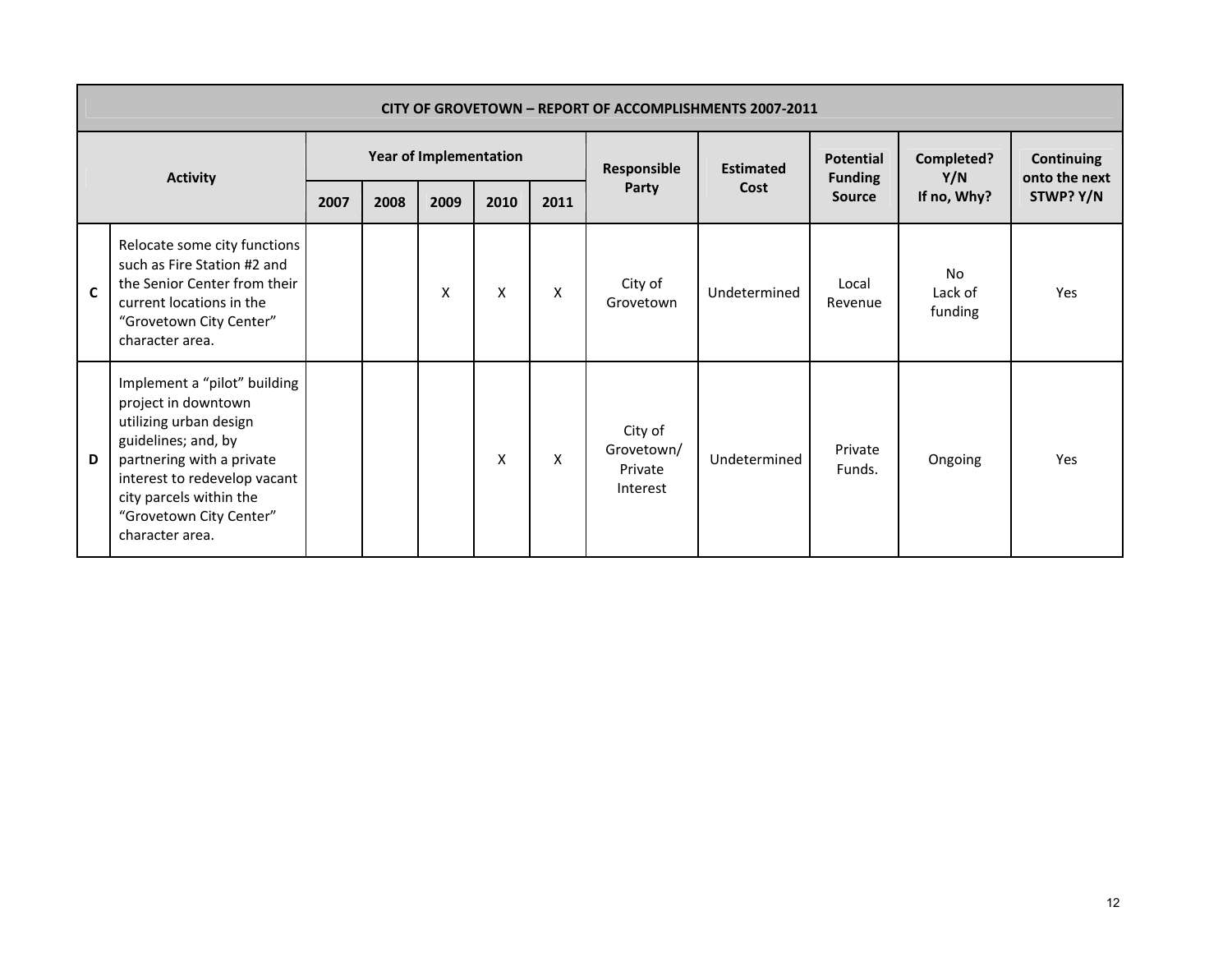|             | CITY OF GROVETOWN - REPORT OF ACCOMPLISHMENTS 2007-2011                                                                                                                                                                                    |      |      |                               |      |      |                                              |                  |                                    |                                 |                                    |  |  |  |
|-------------|--------------------------------------------------------------------------------------------------------------------------------------------------------------------------------------------------------------------------------------------|------|------|-------------------------------|------|------|----------------------------------------------|------------------|------------------------------------|---------------------------------|------------------------------------|--|--|--|
|             | <b>Activity</b>                                                                                                                                                                                                                            |      |      | <b>Year of Implementation</b> |      |      | Responsible                                  | <b>Estimated</b> | <b>Potential</b><br><b>Funding</b> | Completed?<br>Y/N               | <b>Continuing</b><br>onto the next |  |  |  |
|             |                                                                                                                                                                                                                                            | 2007 | 2008 | 2009                          | 2010 | 2011 | Party                                        | Cost             | <b>Source</b>                      | If no, Why?                     | STWP? Y/N                          |  |  |  |
| $\mathbf c$ | Relocate some city functions<br>such as Fire Station #2 and<br>the Senior Center from their<br>current locations in the<br>"Grovetown City Center"<br>character area.                                                                      |      |      | X                             | X    | X    | City of<br>Grovetown                         | Undetermined     | Local<br>Revenue                   | <b>No</b><br>Lack of<br>funding | Yes                                |  |  |  |
| D           | Implement a "pilot" building<br>project in downtown<br>utilizing urban design<br>guidelines; and, by<br>partnering with a private<br>interest to redevelop vacant<br>city parcels within the<br>"Grovetown City Center"<br>character area. |      |      |                               | X    | X    | City of<br>Grovetown/<br>Private<br>Interest | Undetermined     | Private<br>Funds.                  | Ongoing                         | Yes                                |  |  |  |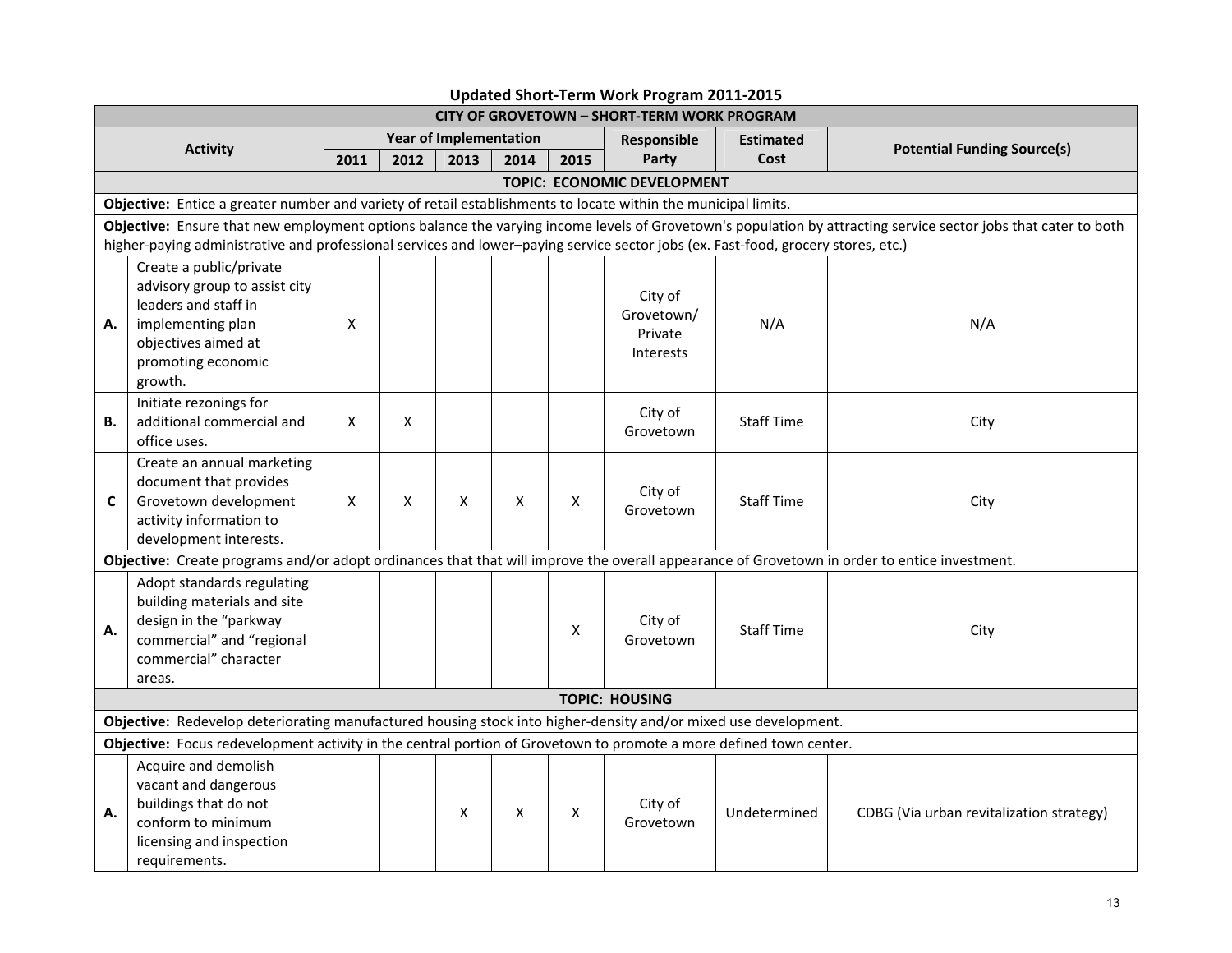| <b>CITY OF GROVETOWN - SHORT-TERM WORK PROGRAM</b>                                                                                                             |                                                                                                                                                               |      |      |                               |      |      |                                               |                   |                                          |  |  |  |
|----------------------------------------------------------------------------------------------------------------------------------------------------------------|---------------------------------------------------------------------------------------------------------------------------------------------------------------|------|------|-------------------------------|------|------|-----------------------------------------------|-------------------|------------------------------------------|--|--|--|
|                                                                                                                                                                | <b>Activity</b>                                                                                                                                               |      |      | <b>Year of Implementation</b> |      |      | Responsible                                   | <b>Estimated</b>  | <b>Potential Funding Source(s)</b>       |  |  |  |
|                                                                                                                                                                |                                                                                                                                                               | 2011 | 2012 | 2013                          | 2014 | 2015 | Party                                         | Cost              |                                          |  |  |  |
|                                                                                                                                                                | TOPIC: ECONOMIC DEVELOPMENT                                                                                                                                   |      |      |                               |      |      |                                               |                   |                                          |  |  |  |
|                                                                                                                                                                | Objective: Entice a greater number and variety of retail establishments to locate within the municipal limits.                                                |      |      |                               |      |      |                                               |                   |                                          |  |  |  |
| Objective: Ensure that new employment options balance the varying income levels of Grovetown's population by attracting service sector jobs that cater to both |                                                                                                                                                               |      |      |                               |      |      |                                               |                   |                                          |  |  |  |
|                                                                                                                                                                | higher-paying administrative and professional services and lower-paying service sector jobs (ex. Fast-food, grocery stores, etc.)                             |      |      |                               |      |      |                                               |                   |                                          |  |  |  |
| А.                                                                                                                                                             | Create a public/private<br>advisory group to assist city<br>leaders and staff in<br>implementing plan<br>objectives aimed at<br>promoting economic<br>growth. | X    |      |                               |      |      | City of<br>Grovetown/<br>Private<br>Interests | N/A               | N/A                                      |  |  |  |
| В.                                                                                                                                                             | Initiate rezonings for<br>additional commercial and<br>office uses.                                                                                           | X    | X    |                               |      |      | City of<br>Grovetown                          | <b>Staff Time</b> | City                                     |  |  |  |
| C                                                                                                                                                              | Create an annual marketing<br>document that provides<br>Grovetown development<br>activity information to<br>development interests.                            | X    | X    | X                             | X    | X    | City of<br>Grovetown                          | <b>Staff Time</b> | City                                     |  |  |  |
|                                                                                                                                                                | Objective: Create programs and/or adopt ordinances that that will improve the overall appearance of Grovetown in order to entice investment.                  |      |      |                               |      |      |                                               |                   |                                          |  |  |  |
| А.                                                                                                                                                             | Adopt standards regulating<br>building materials and site<br>design in the "parkway<br>commercial" and "regional<br>commercial" character<br>areas.           |      |      |                               |      | X    | City of<br>Grovetown                          | <b>Staff Time</b> | City                                     |  |  |  |
|                                                                                                                                                                |                                                                                                                                                               |      |      |                               |      |      | <b>TOPIC: HOUSING</b>                         |                   |                                          |  |  |  |
|                                                                                                                                                                | Objective: Redevelop deteriorating manufactured housing stock into higher-density and/or mixed use development.                                               |      |      |                               |      |      |                                               |                   |                                          |  |  |  |
|                                                                                                                                                                | Objective: Focus redevelopment activity in the central portion of Grovetown to promote a more defined town center.                                            |      |      |                               |      |      |                                               |                   |                                          |  |  |  |
| А.                                                                                                                                                             | Acquire and demolish<br>vacant and dangerous<br>buildings that do not<br>conform to minimum<br>licensing and inspection<br>requirements.                      |      |      | X                             | X    | X    | City of<br>Grovetown                          | Undetermined      | CDBG (Via urban revitalization strategy) |  |  |  |

## **Updated Short‐Term Work Program 2011‐2015**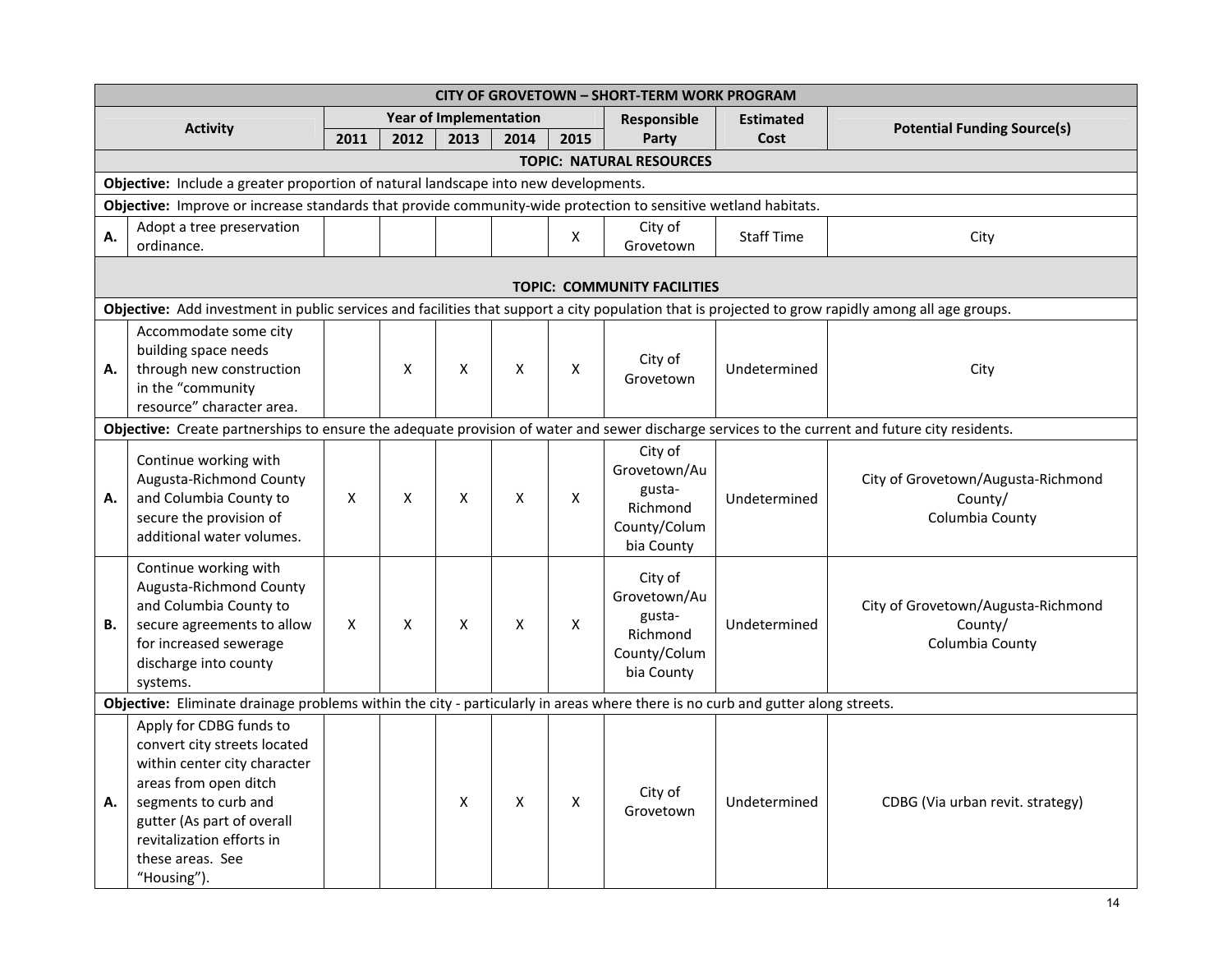| <b>CITY OF GROVETOWN - SHORT-TERM WORK PROGRAM</b>                                  |                                                                                                                                                                                                                                        |      |      |                               |      |      |                                                                             |                   |                                                                  |  |  |
|-------------------------------------------------------------------------------------|----------------------------------------------------------------------------------------------------------------------------------------------------------------------------------------------------------------------------------------|------|------|-------------------------------|------|------|-----------------------------------------------------------------------------|-------------------|------------------------------------------------------------------|--|--|
|                                                                                     | <b>Activity</b>                                                                                                                                                                                                                        |      |      | <b>Year of Implementation</b> |      |      | Responsible                                                                 | <b>Estimated</b>  | <b>Potential Funding Source(s)</b>                               |  |  |
|                                                                                     |                                                                                                                                                                                                                                        | 2011 | 2012 | 2013                          | 2014 | 2015 | Party                                                                       | Cost              |                                                                  |  |  |
| <b>TOPIC: NATURAL RESOURCES</b>                                                     |                                                                                                                                                                                                                                        |      |      |                               |      |      |                                                                             |                   |                                                                  |  |  |
| Objective: Include a greater proportion of natural landscape into new developments. |                                                                                                                                                                                                                                        |      |      |                               |      |      |                                                                             |                   |                                                                  |  |  |
|                                                                                     | Objective: Improve or increase standards that provide community-wide protection to sensitive wetland habitats.                                                                                                                         |      |      |                               |      |      |                                                                             |                   |                                                                  |  |  |
| А.                                                                                  | Adopt a tree preservation<br>ordinance.                                                                                                                                                                                                |      |      |                               |      | X    | City of<br>Grovetown                                                        | <b>Staff Time</b> | City                                                             |  |  |
|                                                                                     | <b>TOPIC: COMMUNITY FACILITIES</b>                                                                                                                                                                                                     |      |      |                               |      |      |                                                                             |                   |                                                                  |  |  |
|                                                                                     | Objective: Add investment in public services and facilities that support a city population that is projected to grow rapidly among all age groups.                                                                                     |      |      |                               |      |      |                                                                             |                   |                                                                  |  |  |
| А.                                                                                  | Accommodate some city<br>building space needs<br>through new construction<br>in the "community<br>resource" character area.                                                                                                            |      | X    | X                             | X    | X    | City of<br>Grovetown                                                        | Undetermined      | City                                                             |  |  |
|                                                                                     | Objective: Create partnerships to ensure the adequate provision of water and sewer discharge services to the current and future city residents.                                                                                        |      |      |                               |      |      |                                                                             |                   |                                                                  |  |  |
| Α.                                                                                  | Continue working with<br>Augusta-Richmond County<br>and Columbia County to<br>secure the provision of<br>additional water volumes.                                                                                                     | X    | X    | X                             | X    | X    | City of<br>Grovetown/Au<br>gusta-<br>Richmond<br>County/Colum<br>bia County | Undetermined      | City of Grovetown/Augusta-Richmond<br>County/<br>Columbia County |  |  |
| <b>B.</b>                                                                           | Continue working with<br>Augusta-Richmond County<br>and Columbia County to<br>secure agreements to allow<br>for increased sewerage<br>discharge into county<br>systems.                                                                | X    | X    | X                             | Χ    | X    | City of<br>Grovetown/Au<br>gusta-<br>Richmond<br>County/Colum<br>bia County | Undetermined      | City of Grovetown/Augusta-Richmond<br>County/<br>Columbia County |  |  |
|                                                                                     | Objective: Eliminate drainage problems within the city - particularly in areas where there is no curb and gutter along streets.                                                                                                        |      |      |                               |      |      |                                                                             |                   |                                                                  |  |  |
| А.                                                                                  | Apply for CDBG funds to<br>convert city streets located<br>within center city character<br>areas from open ditch<br>segments to curb and<br>gutter (As part of overall<br>revitalization efforts in<br>these areas. See<br>"Housing"). |      |      | X                             | X    | X    | City of<br>Grovetown                                                        | Undetermined      | CDBG (Via urban revit. strategy)                                 |  |  |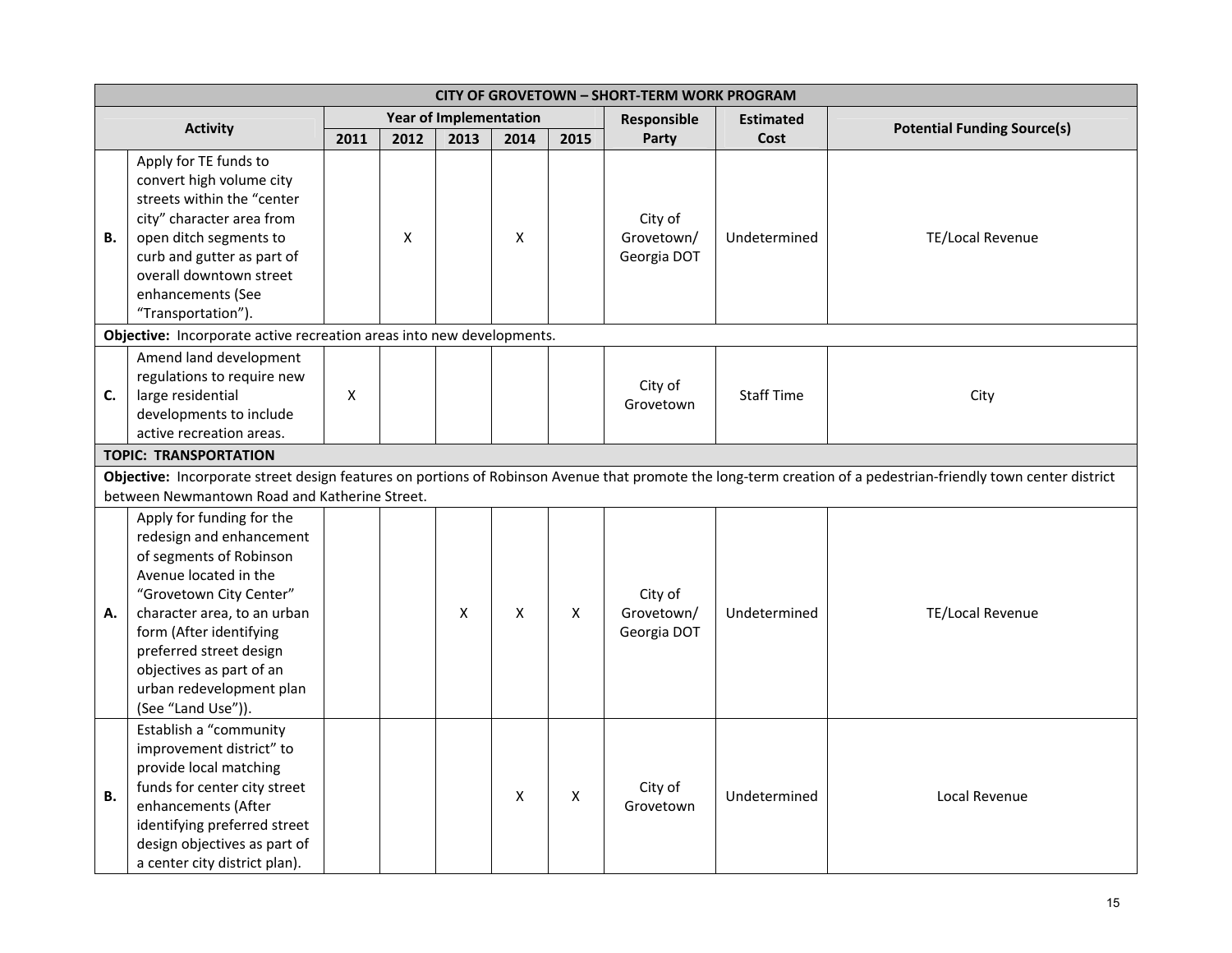|           | <b>CITY OF GROVETOWN - SHORT-TERM WORK PROGRAM</b>                                                                                                                                                                                                                                                      |      |      |                               |      |      |                                      |                   |                                    |  |  |  |
|-----------|---------------------------------------------------------------------------------------------------------------------------------------------------------------------------------------------------------------------------------------------------------------------------------------------------------|------|------|-------------------------------|------|------|--------------------------------------|-------------------|------------------------------------|--|--|--|
|           |                                                                                                                                                                                                                                                                                                         |      |      | <b>Year of Implementation</b> |      |      | Responsible                          | <b>Estimated</b>  |                                    |  |  |  |
|           | <b>Activity</b>                                                                                                                                                                                                                                                                                         | 2011 | 2012 | 2013                          | 2014 | 2015 | Party                                | Cost              | <b>Potential Funding Source(s)</b> |  |  |  |
| В.        | Apply for TE funds to<br>convert high volume city<br>streets within the "center<br>city" character area from<br>open ditch segments to<br>curb and gutter as part of<br>overall downtown street<br>enhancements (See<br>"Transportation").                                                              |      | X    |                               | X    |      | City of<br>Grovetown/<br>Georgia DOT | Undetermined      | TE/Local Revenue                   |  |  |  |
|           | Objective: Incorporate active recreation areas into new developments.                                                                                                                                                                                                                                   |      |      |                               |      |      |                                      |                   |                                    |  |  |  |
| C.        | Amend land development<br>regulations to require new<br>large residential<br>developments to include<br>active recreation areas.                                                                                                                                                                        | X    |      |                               |      |      | City of<br>Grovetown                 | <b>Staff Time</b> | City                               |  |  |  |
|           | <b>TOPIC: TRANSPORTATION</b>                                                                                                                                                                                                                                                                            |      |      |                               |      |      |                                      |                   |                                    |  |  |  |
|           | Objective: Incorporate street design features on portions of Robinson Avenue that promote the long-term creation of a pedestrian-friendly town center district                                                                                                                                          |      |      |                               |      |      |                                      |                   |                                    |  |  |  |
|           | between Newmantown Road and Katherine Street.                                                                                                                                                                                                                                                           |      |      |                               |      |      |                                      |                   |                                    |  |  |  |
| А.        | Apply for funding for the<br>redesign and enhancement<br>of segments of Robinson<br>Avenue located in the<br>"Grovetown City Center"<br>character area, to an urban<br>form (After identifying<br>preferred street design<br>objectives as part of an<br>urban redevelopment plan<br>(See "Land Use")). |      |      | X                             | X    | X    | City of<br>Grovetown/<br>Georgia DOT | Undetermined      | TE/Local Revenue                   |  |  |  |
| <b>B.</b> | Establish a "community<br>improvement district" to<br>provide local matching<br>funds for center city street<br>enhancements (After<br>identifying preferred street<br>design objectives as part of<br>a center city district plan).                                                                    |      |      |                               | X    | Χ    | City of<br>Grovetown                 | Undetermined      | Local Revenue                      |  |  |  |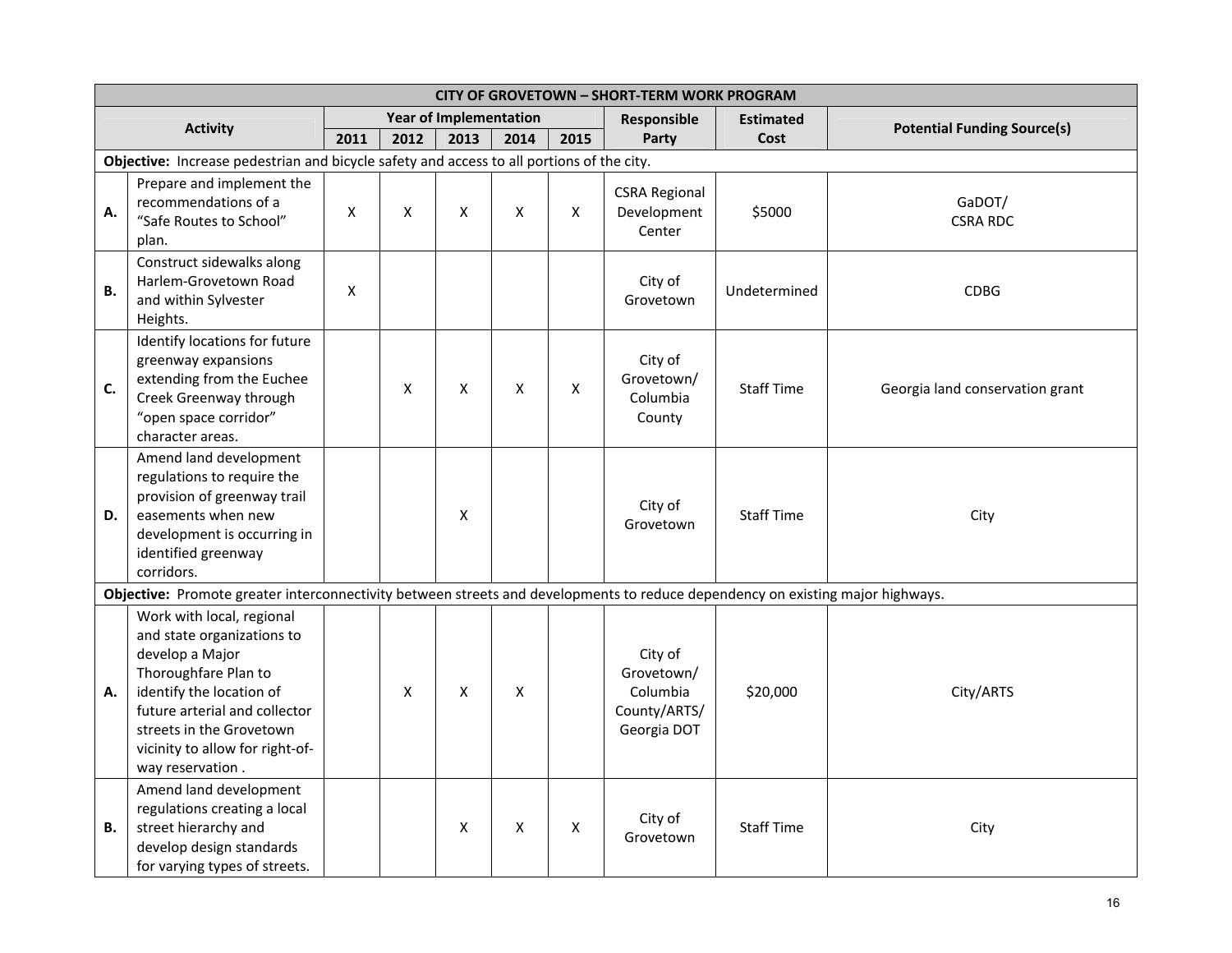|           | <b>CITY OF GROVETOWN - SHORT-TERM WORK PROGRAM</b>                                                                                                                                                                                                 |                    |      |                               |      |      |                                                                  |                   |                                    |  |  |
|-----------|----------------------------------------------------------------------------------------------------------------------------------------------------------------------------------------------------------------------------------------------------|--------------------|------|-------------------------------|------|------|------------------------------------------------------------------|-------------------|------------------------------------|--|--|
|           | <b>Activity</b>                                                                                                                                                                                                                                    |                    |      | <b>Year of Implementation</b> |      |      | Responsible                                                      | <b>Estimated</b>  | <b>Potential Funding Source(s)</b> |  |  |
|           |                                                                                                                                                                                                                                                    | 2011               | 2012 | 2013                          | 2014 | 2015 | Party                                                            | Cost              |                                    |  |  |
|           | Objective: Increase pedestrian and bicycle safety and access to all portions of the city.                                                                                                                                                          |                    |      |                               |      |      |                                                                  |                   |                                    |  |  |
| А.        | Prepare and implement the<br>recommendations of a<br>"Safe Routes to School"<br>plan.                                                                                                                                                              | $\pmb{\mathsf{X}}$ | Χ    | X                             | X    | X    | <b>CSRA Regional</b><br>Development<br>Center                    | \$5000            | GaDOT/<br><b>CSRA RDC</b>          |  |  |
| <b>B.</b> | Construct sidewalks along<br>Harlem-Grovetown Road<br>and within Sylvester<br>Heights.                                                                                                                                                             | X                  |      |                               |      |      | City of<br>Grovetown                                             | Undetermined      | <b>CDBG</b>                        |  |  |
| C.        | Identify locations for future<br>greenway expansions<br>extending from the Euchee<br>Creek Greenway through<br>"open space corridor"<br>character areas.                                                                                           |                    | X    | X                             | X    | X    | City of<br>Grovetown/<br>Columbia<br>County                      | <b>Staff Time</b> | Georgia land conservation grant    |  |  |
| D.        | Amend land development<br>regulations to require the<br>provision of greenway trail<br>easements when new<br>development is occurring in<br>identified greenway<br>corridors.                                                                      |                    |      | X                             |      |      | City of<br>Grovetown                                             | <b>Staff Time</b> | City                               |  |  |
|           | Objective: Promote greater interconnectivity between streets and developments to reduce dependency on existing major highways.                                                                                                                     |                    |      |                               |      |      |                                                                  |                   |                                    |  |  |
| А.        | Work with local, regional<br>and state organizations to<br>develop a Major<br>Thoroughfare Plan to<br>identify the location of<br>future arterial and collector<br>streets in the Grovetown<br>vicinity to allow for right-of-<br>way reservation. |                    | X    | X                             | X    |      | City of<br>Grovetown/<br>Columbia<br>County/ARTS/<br>Georgia DOT | \$20,000          | City/ARTS                          |  |  |
| В.        | Amend land development<br>regulations creating a local<br>street hierarchy and<br>develop design standards<br>for varying types of streets.                                                                                                        |                    |      | X                             | X    | X    | City of<br>Grovetown                                             | <b>Staff Time</b> | City                               |  |  |